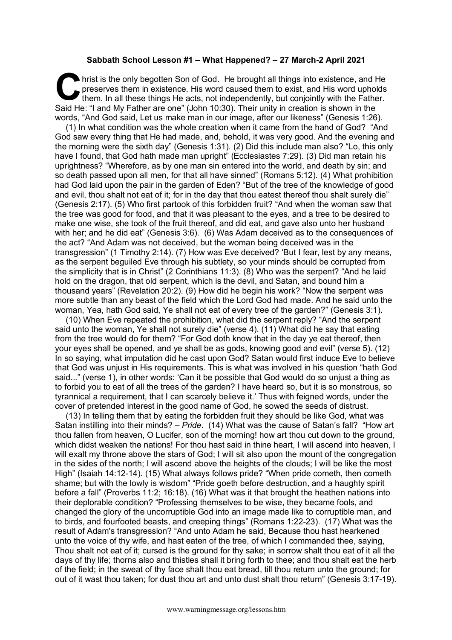## **Sabbath School Lesson #1 – What Happened? – 27 March-2 April 2021**

hrist is the only begotten Son of God. He brought all things into existence, and He preserves them in existence. His word caused them to exist, and His word upholds them. In all these things He acts, not independently, but preserves them in existence. His word caused them to exist, and His word upholds them. In all these things He acts, not independently, but conjointly with the Father. Said He: "I and My Father are one" (John 10:30). Their unity in creation is shown in the words, "And God said, Let us make man in our image, after our likeness" (Genesis 1:26).

(1) In what condition was the whole creation when it came from the hand of God? "And God saw every thing that He had made, and, behold, it was very good. And the evening and the morning were the sixth day" (Genesis 1:31). (2) Did this include man also? "Lo, this only have I found, that God hath made man upright" (Ecclesiastes 7:29). (3) Did man retain his uprightness? "Wherefore, as by one man sin entered into the world, and death by sin; and so death passed upon all men, for that all have sinned" (Romans 5:12). (4) What prohibition had God laid upon the pair in the garden of Eden? "But of the tree of the knowledge of good and evil, thou shalt not eat of it; for in the day that thou eatest thereof thou shalt surely die" (Genesis 2:17). (5) Who first partook of this forbidden fruit? "And when the woman saw that the tree was good for food, and that it was pleasant to the eyes, and a tree to be desired to make one wise, she took of the fruit thereof, and did eat, and gave also unto her husband with her; and he did eat" (Genesis 3:6). (6) Was Adam deceived as to the consequences of the act? "And Adam was not deceived, but the woman being deceived was in the transgression" (1 Timothy 2:14). (7) How was Eve deceived? 'But I fear, lest by any means, as the serpent beguiled Eve through his subtlety, so your minds should be corrupted from the simplicity that is in Christ" (2 Corinthians 11:3). (8) Who was the serpent? "And he laid hold on the dragon, that old serpent, which is the devil, and Satan, and bound him a thousand years" (Revelation 20:2). (9) How did he begin his work? "Now the serpent was more subtle than any beast of the field which the Lord God had made. And he said unto the woman, Yea, hath God said, Ye shall not eat of every tree of the garden?" (Genesis 3:1).

(10) When Eve repeated the prohibition, what did the serpent reply? "And the serpent said unto the woman, Ye shall not surely die" (verse 4). (11) What did he say that eating from the tree would do for them? "For God doth know that in the day ye eat thereof, then your eyes shall be opened, and ye shall be as gods, knowing good and evil" (verse 5). (12) In so saying, what imputation did he cast upon God? Satan would first induce Eve to believe that God was unjust in His requirements. This is what was involved in his question "hath God said..." (verse 1), in other words: 'Can it be possible that God would do so unjust a thing as to forbid you to eat of all the trees of the garden? I have heard so, but it is so monstrous, so tyrannical a requirement, that I can scarcely believe it.' Thus with feigned words, under the cover of pretended interest in the good name of God, he sowed the seeds of distrust.

(13) In telling them that by eating the forbidden fruit they should be like God, what was Satan instilling into their minds? – *Pride*. (14) What was the cause of Satan's fall? "How art thou fallen from heaven, O Lucifer, son of the morning! how art thou cut down to the ground, which didst weaken the nations! For thou hast said in thine heart, I will ascend into heaven, I will exalt my throne above the stars of God; I will sit also upon the mount of the congregation in the sides of the north; I will ascend above the heights of the clouds; I will be like the most High" (Isaiah 14:12-14). (15) What always follows pride? "When pride cometh, then cometh shame; but with the lowly is wisdom" "Pride goeth before destruction, and a haughty spirit before a fall" (Proverbs 11:2; 16:18). (16) What was it that brought the heathen nations into their deplorable condition? "Professing themselves to be wise, they became fools, and changed the glory of the uncorruptible God into an image made like to corruptible man, and to birds, and fourfooted beasts, and creeping things" (Romans 1:22-23). (17) What was the result of Adam's transgression? "And unto Adam he said, Because thou hast hearkened unto the voice of thy wife, and hast eaten of the tree, of which I commanded thee, saying, Thou shalt not eat of it; cursed is the ground for thy sake; in sorrow shalt thou eat of it all the days of thy life; thorns also and thistles shall it bring forth to thee; and thou shalt eat the herb of the field; in the sweat of thy face shalt thou eat bread, till thou return unto the ground; for out of it wast thou taken; for dust thou art and unto dust shalt thou return" (Genesis 3:17-19).